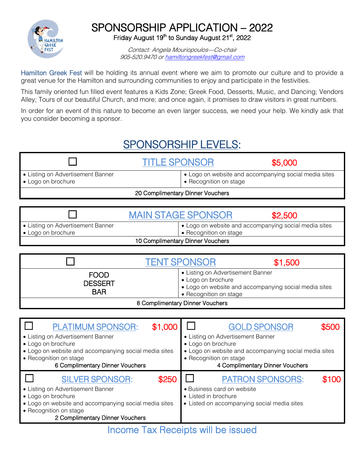

## SPONSORSHIP APPLICATION – 2022 Friday August 19<sup>th</sup> to Sunday August 21<sup>st</sup>, 2022

Contact: Angela Mouriopoulos—Co-chair 905-520.9470 o[r hamiltongreekfest@gmail.com](mailto:hamiltongreekfest@gmail.com)

Hamilton Greek Fest will be holding its annual event where we aim to promote our culture and to provide a great venue for the Hamilton and surrounding communities to enjoy and participate in the festivities.

This family oriented fun filled event features a Kids Zone; Greek Food, Desserts, Music, and Dancing; Vendors Alley; Tours of our beautiful Church, and more; and once again, it promises to draw visitors in great numbers.

In order for an event of this nature to become an even larger success, we need your help. We kindly ask that you consider becoming a sponsor.

## SPONSORSHIP LEVELS:

|                                                         | <b>TITLE SPONSOR</b>             | \$5,000                                               |
|---------------------------------------------------------|----------------------------------|-------------------------------------------------------|
| • Listing on Advertisement Banner<br>• Logo on brochure | • Recognition on stage           | • Logo on website and accompanying social media sites |
|                                                         | 20 Complimentary Dinner Vouchers |                                                       |

|                                   | <b>MAIN STAGE SPONSOR</b> | \$2,500                                               |
|-----------------------------------|---------------------------|-------------------------------------------------------|
| • Listing on Advertisement Banner |                           | • Logo on website and accompanying social media sites |
| • Logo on brochure                | • Recognition on stage    |                                                       |
| 10 Complimentary Dinner Vouchers  |                           |                                                       |

|                                             | <b>TENT SPONSOR</b>                                                               | \$1,500                                               |
|---------------------------------------------|-----------------------------------------------------------------------------------|-------------------------------------------------------|
| <b>FOOD</b><br><b>DESSERT</b><br><b>BAR</b> | • Listing on Advertisement Banner<br>• Logo on brochure<br>• Recognition on stage | • Logo on website and accompanying social media sites |
|                                             | 8 Complimentary Dinner Vouchers                                                   |                                                       |

| <b>PLATIMUM SPONSOR:</b>                                                                                                                                                                                         | <b>GOLD SPONSOR</b>                                                                                                                   |
|------------------------------------------------------------------------------------------------------------------------------------------------------------------------------------------------------------------|---------------------------------------------------------------------------------------------------------------------------------------|
| \$1,000                                                                                                                                                                                                          | \$500                                                                                                                                 |
| • Listing on Advertisement Banner                                                                                                                                                                                | • Listing on Advertisement Banner                                                                                                     |
| • Logo on brochure                                                                                                                                                                                               | • Logo on brochure                                                                                                                    |
| • Logo on website and accompanying social media sites                                                                                                                                                            | • Logo on website and accompanying social media sites                                                                                 |
| • Recognition on stage                                                                                                                                                                                           | • Recognition on stage                                                                                                                |
| 6 Complimentary Dinner Vouchers                                                                                                                                                                                  | 4 Complimentary Dinner Vouchers                                                                                                       |
| <b>SILVER SPONSOR:</b><br>\$250<br>• Listing on Advertisement Banner<br>• Logo on brochure<br>• Logo on website and accompanying social media sites<br>• Recognition on stage<br>2 Complimentary Dinner Vouchers | <b>PATRON SPONSORS:</b><br>\$100<br>• Business card on website<br>• Listed in brochure<br>• Listed on accompanying social media sites |
|                                                                                                                                                                                                                  | Incomo Tay Pocointe will be iecuod                                                                                                    |

Income Tax Receipts will be issued